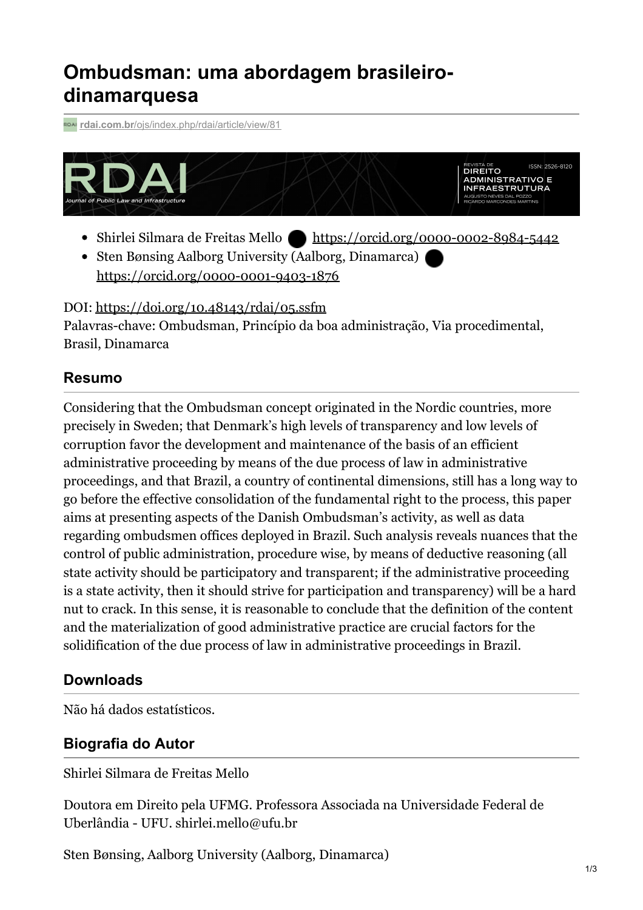# **Ombudsman: uma abordagem brasileirodinamarquesa**

**rdai.com.br**[/ojs/index.php/rdai/article/view/81](https://rdai.com.br/ojs/index.php/rdai/article/view/81)

ISSN: 2526-8120 DIREITO ADMINISTRATIVO E **INFRAESTRUTURA** 

- Shirlei Silmara de Freitas Mello <https://orcid.org/0000-0002-8984-5442>
- Sten Bønsing Aalborg University (Aalborg, Dinamarca) <https://orcid.org/0000-0001-9403-1876>

#### DOI: <https://doi.org/10.48143/rdai/05.ssfm>

Palavras-chave: Ombudsman, Princípio da boa administração, Via procedimental, Brasil, Dinamarca

#### **Resumo**

Considering that the Ombudsman concept originated in the Nordic countries, more precisely in Sweden; that Denmark's high levels of transparency and low levels of corruption favor the development and maintenance of the basis of an efficient administrative proceeding by means of the due process of law in administrative proceedings, and that Brazil, a country of continental dimensions, still has a long way to go before the effective consolidation of the fundamental right to the process, this paper aims at presenting aspects of the Danish Ombudsman's activity, as well as data regarding ombudsmen offices deployed in Brazil. Such analysis reveals nuances that the control of public administration, procedure wise, by means of deductive reasoning (all state activity should be participatory and transparent; if the administrative proceeding is a state activity, then it should strive for participation and transparency) will be a hard nut to crack. In this sense, it is reasonable to conclude that the definition of the content and the materialization of good administrative practice are crucial factors for the solidification of the due process of law in administrative proceedings in Brazil.

## **Downloads**

Não há dados estatísticos.

## **Biografia do Autor**

Shirlei Silmara de Freitas Mello

Doutora em Direito pela UFMG. Professora Associada na Universidade Federal de Uberlândia - UFU. shirlei.mello@ufu.br

Sten Bønsing, Aalborg University (Aalborg, Dinamarca)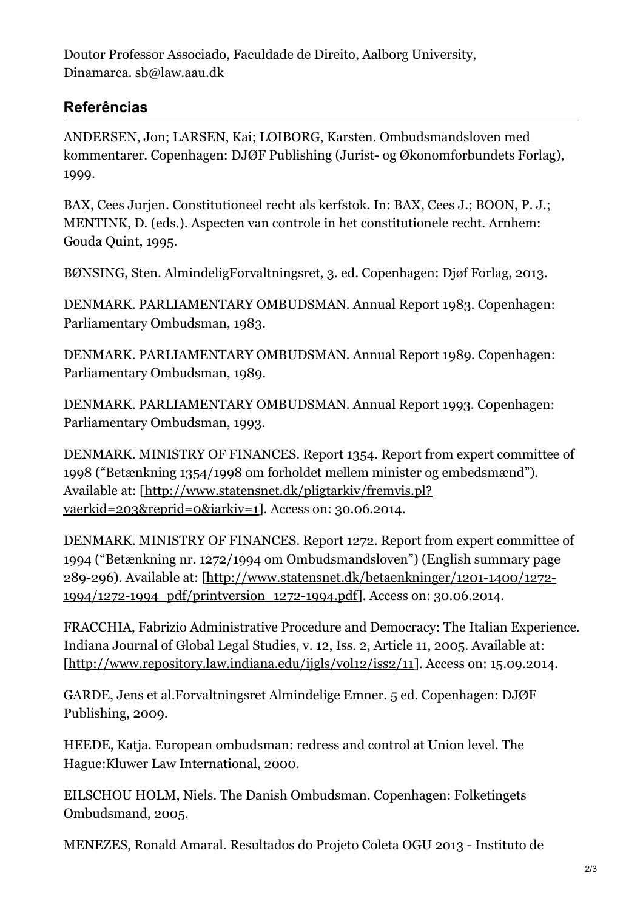Doutor Professor Associado, Faculdade de Direito, Aalborg University, Dinamarca. sb@law.aau.dk

## **Referências**

ANDERSEN, Jon; LARSEN, Kai; LOIBORG, Karsten. Ombudsmandsloven med kommentarer. Copenhagen: DJØF Publishing (Jurist- og Økonomforbundets Forlag), 1999.

BAX, Cees Jurjen. Constitutioneel recht als kerfstok. In: BAX, Cees J.; BOON, P. J.; MENTINK, D. (eds.). Aspecten van controle in het constitutionele recht. Arnhem: Gouda Quint, 1995.

BØNSING, Sten. AlmindeligForvaltningsret, 3. ed. Copenhagen: Djøf Forlag, 2013.

DENMARK. PARLIAMENTARY OMBUDSMAN. Annual Report 1983. Copenhagen: Parliamentary Ombudsman, 1983.

DENMARK. PARLIAMENTARY OMBUDSMAN. Annual Report 1989. Copenhagen: Parliamentary Ombudsman, 1989.

DENMARK. PARLIAMENTARY OMBUDSMAN. Annual Report 1993. Copenhagen: Parliamentary Ombudsman, 1993.

DENMARK. MINISTRY OF FINANCES. Report 1354. Report from expert committee of 1998 ("Betænkning 1354/1998 om forholdet mellem minister og embedsmænd"). Available at: [\[http://www.statensnet.dk/pligtarkiv/fremvis.pl?](http://www.statensnet.dk/pligtarkiv/fremvis.pl?vaerkid=203&reprid=0&iarkiv=1) vaerkid=203&reprid=0&iarkiv=1]. Access on: 30.06.2014.

DENMARK. MINISTRY OF FINANCES. Report 1272. Report from expert committee of 1994 ("Betænkning nr. 1272/1994 om Ombudsmandsloven") (English summary page 289-296). Available at: [\[http://www.statensnet.dk/betaenkninger/1201-1400/1272-](http://www.statensnet.dk/betaenkninger/1201-1400/1272-1994/1272-1994_pdf/printversion_1272-1994.pdf) 1994/1272-1994\_pdf/printversion\_1272-1994.pdf]. Access on: 30.06.2014.

FRACCHIA, Fabrizio Administrative Procedure and Democracy: The Italian Experience. Indiana Journal of Global Legal Studies, v. 12, Iss. 2, Article 11, 2005. Available at: [\[http://www.repository.law.indiana.edu/ijgls/vol12/iss2/11](http://www.repository.law.indiana.edu/ijgls/vol12/iss2/11)]. Access on: 15.09.2014.

GARDE, Jens et al.Forvaltningsret Almindelige Emner. 5 ed. Copenhagen: DJØF Publishing, 2009.

HEEDE, Katja. European ombudsman: redress and control at Union level. The Hague:Kluwer Law International, 2000.

EILSCHOU HOLM, Niels. The Danish Ombudsman. Copenhagen: Folketingets Ombudsmand, 2005.

MENEZES, Ronald Amaral. Resultados do Projeto Coleta OGU 2013 - Instituto de